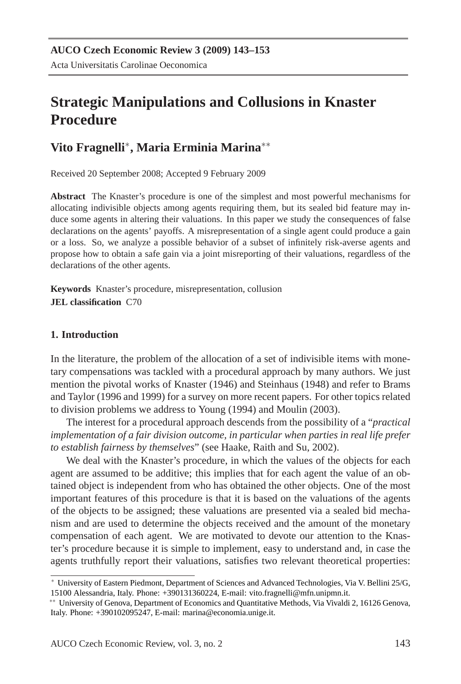# **Strategic Manipulations and Collusions in Knaster Procedure**

# **Vito Fragnelli**<sup>∗</sup> **, Maria Erminia Marina**∗∗

Received 20 September 2008; Accepted 9 February 2009

**Abstract** The Knaster's procedure is one of the simplest and most powerful mechanisms for allocating indivisible objects among agents requiring them, but its sealed bid feature may induce some agents in altering their valuations. In this paper we study the consequences of false declarations on the agents' payoffs. A misrepresentation of a single agent could produce a gain or a loss. So, we analyze a possible behavior of a subset of infinitely risk-averse agents and propose how to obtain a safe gain via a joint misreporting of their valuations, regardless of the declarations of the other agents.

**Keywords** Knaster's procedure, misrepresentation, collusion **JEL classification** C70

#### **1. Introduction**

In the literature, the problem of the allocation of a set of indivisible items with monetary compensations was tackled with a procedural approach by many authors. We just mention the pivotal works of Knaster (1946) and Steinhaus (1948) and refer to Brams and Taylor (1996 and 1999) for a survey on more recent papers. For other topics related to division problems we address to Young (1994) and Moulin (2003).

The interest for a procedural approach descends from the possibility of a "*practical implementation of a fair division outcome, in particular when parties in real life prefer to establish fairness by themselves*" (see Haake, Raith and Su, 2002).

We deal with the Knaster's procedure, in which the values of the objects for each agent are assumed to be additive; this implies that for each agent the value of an obtained object is independent from who has obtained the other objects. One of the most important features of this procedure is that it is based on the valuations of the agents of the objects to be assigned; these valuations are presented via a sealed bid mechanism and are used to determine the objects received and the amount of the monetary compensation of each agent. We are motivated to devote our attention to the Knaster's procedure because it is simple to implement, easy to understand and, in case the agents truthfully report their valuations, satisfies two relevant theoretical properties:

<sup>∗</sup> University of Eastern Piedmont, Department of Sciences and Advanced Technologies, Via V. Bellini 25/G, 15100 Alessandria, Italy. Phone: +390131360224, E-mail: vito.fragnelli@mfn.unipmn.it.

<sup>∗∗</sup> University of Genova, Department of Economics and Quantitative Methods, Via Vivaldi 2, 16126 Genova, Italy. Phone: +390102095247, E-mail: marina@economia.unige.it.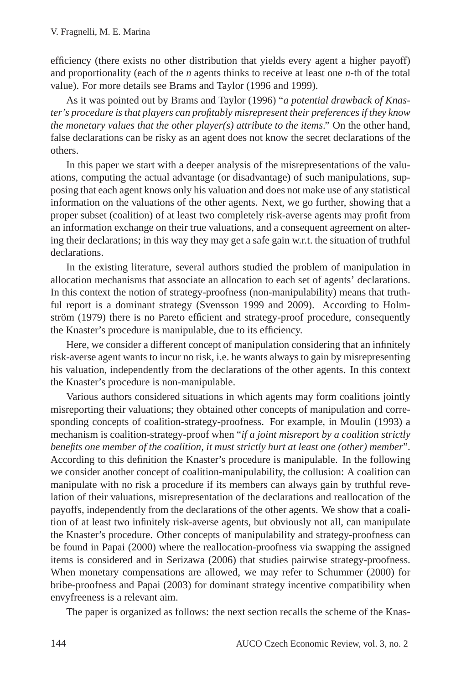efficiency (there exists no other distribution that yields every agent a higher payoff) and proportionality (each of the *n* agents thinks to receive at least one *n*-th of the total value). For more details see Brams and Taylor (1996 and 1999).

As it was pointed out by Brams and Taylor (1996) "*a potential drawback of Knaster's procedure is that players can profitably misrepresent their preferences if they know the monetary values that the other player(s) attribute to the items*." On the other hand, false declarations can be risky as an agent does not know the secret declarations of the others.

In this paper we start with a deeper analysis of the misrepresentations of the valuations, computing the actual advantage (or disadvantage) of such manipulations, supposing that each agent knows only his valuation and does not make use of any statistical information on the valuations of the other agents. Next, we go further, showing that a proper subset (coalition) of at least two completely risk-averse agents may profit from an information exchange on their true valuations, and a consequent agreement on altering their declarations; in this way they may get a safe gain w.r.t. the situation of truthful declarations.

In the existing literature, several authors studied the problem of manipulation in allocation mechanisms that associate an allocation to each set of agents' declarations. In this context the notion of strategy-proofness (non-manipulability) means that truthful report is a dominant strategy (Svensson 1999 and 2009). According to Holmström (1979) there is no Pareto efficient and strategy-proof procedure, consequently the Knaster's procedure is manipulable, due to its efficiency.

Here, we consider a different concept of manipulation considering that an infinitely risk-averse agent wants to incur no risk, i.e. he wants always to gain by misrepresenting his valuation, independently from the declarations of the other agents. In this context the Knaster's procedure is non-manipulable.

Various authors considered situations in which agents may form coalitions jointly misreporting their valuations; they obtained other concepts of manipulation and corresponding concepts of coalition-strategy-proofness. For example, in Moulin (1993) a mechanism is coalition-strategy-proof when "*if a joint misreport by a coalition strictly benefits one member of the coalition, it must strictly hurt at least one (other) member*". According to this definition the Knaster's procedure is manipulable. In the following we consider another concept of coalition-manipulability, the collusion: A coalition can manipulate with no risk a procedure if its members can always gain by truthful revelation of their valuations, misrepresentation of the declarations and reallocation of the payoffs, independently from the declarations of the other agents. We show that a coalition of at least two infinitely risk-averse agents, but obviously not all, can manipulate the Knaster's procedure. Other concepts of manipulability and strategy-proofness can be found in Papai (2000) where the reallocation-proofness via swapping the assigned items is considered and in Serizawa (2006) that studies pairwise strategy-proofness. When monetary compensations are allowed, we may refer to Schummer (2000) for bribe-proofness and Papai (2003) for dominant strategy incentive compatibility when envyfreeness is a relevant aim.

The paper is organized as follows: the next section recalls the scheme of the Knas-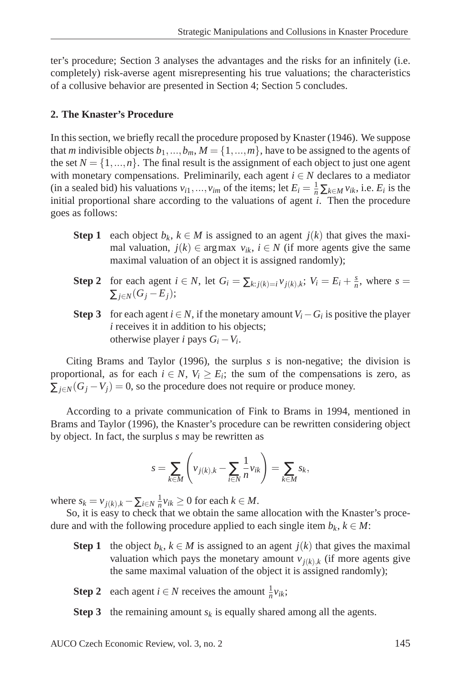ter's procedure; Section 3 analyses the advantages and the risks for an infinitely (i.e. completely) risk-averse agent misrepresenting his true valuations; the characteristics of a collusive behavior are presented in Section 4; Section 5 concludes.

## **2. The Knaster's Procedure**

In this section, we briefly recall the procedure proposed by Knaster (1946). We suppose that *m* indivisible objects  $b_1, ..., b_m$ ,  $M = \{1, ..., m\}$ , have to be assigned to the agents of the set  $N = \{1, ..., n\}$ . The final result is the assignment of each object to just one agent with monetary compensations. Preliminarily, each agent *i* ∈ *N* declares to a mediator (in a sealed bid) his valuations  $v_{i1},...,v_{im}$  of the items; let  $E_i = \frac{1}{n} \sum_{k \in M} v_{ik}$ , i.e.  $E_i$  is the initial proportional share according to the valuations of agent *i*. Then the procedure goes as follows:

- **Step 1** each object  $b_k$ ,  $k \in M$  is assigned to an agent  $j(k)$  that gives the maximal valuation,  $j(k) \in \arg \max v_{ik}$ ,  $i \in N$  (if more agents give the same maximal valuation of an object it is assigned randomly);
- **Step 2** for each agent  $i \in N$ , let  $G_i = \sum_{k: j(k)=i} v_{j(k),k}$ ;  $V_i = E_i + \frac{s}{n}$ , where  $s =$  $\sum_{i \in N} (G_i - E_i);$
- **Step 3** for each agent  $i \in N$ , if the monetary amount  $V_i G_i$  is positive the player *i* receives it in addition to his objects; otherwise player *i* pays  $G_i - V_i$ .

Citing Brams and Taylor (1996), the surplus *s* is non-negative; the division is proportional, as for each  $i \in N$ ,  $V_i \ge E_i$ ; the sum of the compensations is zero, as  $\sum_{i \in N} (G_i - V_i) = 0$ , so the procedure does not require or produce money.

According to a private communication of Fink to Brams in 1994, mentioned in Brams and Taylor (1996), the Knaster's procedure can be rewritten considering object by object. In fact, the surplus *s* may be rewritten as

$$
s = \sum_{k \in M} \left( v_{j(k),k} - \sum_{i \in N} \frac{1}{n} v_{ik} \right) = \sum_{k \in M} s_k,
$$

where  $s_k = v_{j(k),k} - \sum_{i \in N} \frac{1}{n} v_{ik} \ge 0$  for each  $k \in M$ .

So, it is easy to check that we obtain the same allocation with the Knaster's procedure and with the following procedure applied to each single item  $b_k$ ,  $k \in M$ :

- **Step 1** the object  $b_k$ ,  $k \in M$  is assigned to an agent  $j(k)$  that gives the maximal valuation which pays the monetary amount  $v_{j(k),k}$  (if more agents give the same maximal valuation of the object it is assigned randomly);
- **Step 2** each agent *i*  $\in$  *N* receives the amount  $\frac{1}{n}v_{ik}$ ;

**Step 3** the remaining amount  $s_k$  is equally shared among all the agents.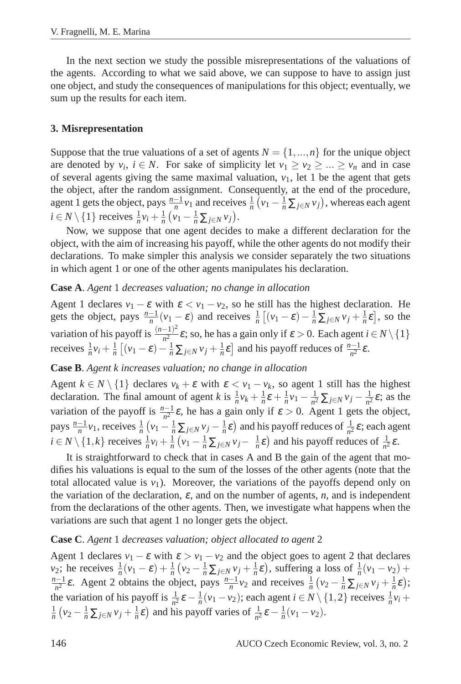In the next section we study the possible misrepresentations of the valuations of the agents. According to what we said above, we can suppose to have to assign just one object, and study the consequences of manipulations for this object; eventually, we sum up the results for each item.

#### **3. Misrepresentation**

Suppose that the true valuations of a set of agents  $N = \{1, ..., n\}$  for the unique object are denoted by  $v_i$ ,  $i \in N$ . For sake of simplicity let  $v_1 \ge v_2 \ge ... \ge v_n$  and in case of several agents giving the same maximal valuation,  $v_1$ , let 1 be the agent that gets the object, after the random assignment. Consequently, at the end of the procedure, agent 1 gets the object, pays  $\frac{n-1}{n}v_1$  and receives  $\frac{1}{n}(v_1 - \frac{1}{n}\sum_{j \in N} v_j)$ , whereas each agent  $i \in N \setminus \{1\}$  receives  $\frac{1}{n}v_i + \frac{1}{n}(v_1 - \frac{1}{n}\sum_{j \in N} v_j)$ .

Now, we suppose that one agent decides to make a different declaration for the object, with the aim of increasing his payoff, while the other agents do not modify their declarations. To make simpler this analysis we consider separately the two situations in which agent 1 or one of the other agents manipulates his declaration.

#### **Case A**. *Agent* 1 *decreases valuation; no change in allocation*

Agent 1 declares  $v_1 - \varepsilon$  with  $\varepsilon < v_1 - v_2$ , so he still has the highest declaration. He gets the object, pays  $\frac{n-1}{n}(v_1 - \varepsilon)$  and receives  $\frac{1}{n}[(v_1 - \varepsilon) - \frac{1}{n}\sum_{j \in N} v_j + \frac{1}{n}\varepsilon]$ , so the variation of his payoff is  $\frac{(n-1)^2}{n^2}$  $\frac{(-1)^n}{n^2}$  ε; so, he has a gain only if  $\varepsilon > 0$ . Each agent  $i \in N \setminus \{1\}$ receives  $\frac{1}{n}v_i + \frac{1}{n}[(v_1 - \varepsilon) - \frac{1}{n}\sum_{j \in \mathbb{N}} v_j + \frac{1}{n}\varepsilon]$  and his payoff reduces of  $\frac{n-1}{n^2}\varepsilon$ .

#### **Case B**. *Agent k increases valuation; no change in allocation*

Agent  $k \in N \setminus \{1\}$  declares  $v_k + \varepsilon$  with  $\varepsilon < v_1 - v_k$ , so agent 1 still has the highest declaration. The final amount of agent *k* is  $\frac{1}{n}v_k + \frac{1}{n}\varepsilon + \frac{1}{n}v_1 - \frac{1}{n^2}$  $\frac{1}{n^2}$  ∑<sub>*j*∈*N*</sub>  $v_j - \frac{1}{n^2}$  $\frac{1}{n^2}$  $\varepsilon$ ; as the variation of the payoff is  $\frac{n-1}{n^2} \varepsilon$ , he has a gain only if  $\varepsilon > 0$ . Agent 1 gets the object, pays  $\frac{n-1}{n}v_1$ , receives  $\frac{1}{n}(v_1 - \frac{1}{n}\sum_{j \in N} v_j - \frac{1}{n}\varepsilon)$  and his payoff reduces of  $\frac{1}{n^2}\varepsilon$ ; each agent  $i \in N \setminus \{1, k\}$  receives  $\frac{1}{n}v_i + \frac{1}{n}(v_1 - \frac{1}{n}\sum_{j \in N} v_j - \frac{1}{n}\varepsilon)$  and his payoff reduces of  $\frac{1}{n^2}\varepsilon$ .

It is straightforward to check that in cases A and B the gain of the agent that modifies his valuations is equal to the sum of the losses of the other agents (note that the total allocated value is  $v_1$ ). Moreover, the variations of the payoffs depend only on the variation of the declaration,  $\varepsilon$ , and on the number of agents,  $n$ , and is independent from the declarations of the other agents. Then, we investigate what happens when the variations are such that agent 1 no longer gets the object.

#### **Case C**. *Agent* 1 *decreases valuation; object allocated to agent* 2

Agent 1 declares  $v_1 - \varepsilon$  with  $\varepsilon > v_1 - v_2$  and the object goes to agent 2 that declares  $\nu_2$ ; he receives  $\frac{1}{n}(\nu_1 - \varepsilon) + \frac{1}{n}(\nu_2 - \frac{1}{n}\sum_{j \in N} \nu_j + \frac{1}{n}\varepsilon)$ , suffering a loss of  $\frac{1}{n}(\nu_1 - \nu_2)$  +  $\frac{n-1}{n^2} \varepsilon$ . Agent 2 obtains the object, pays  $\frac{n-1}{n}v_2$  and receives  $\frac{1}{n}(v_2 - \frac{1}{n}\sum_{j \in N} v_j + \frac{1}{n}\varepsilon)$ ; the variation of his payoff is  $\frac{1}{n^2} \varepsilon - \frac{1}{n} (v_1 - v_2)$ ; each agent  $i \in N \setminus \{1, 2\}$  receives  $\frac{1}{n} v_i$  +  $\frac{1}{n}$   $(v_2 - \frac{1}{n} \sum_{j \in N} v_j + \frac{1}{n} \varepsilon)$  and his payoff varies of  $\frac{1}{n^2} \varepsilon - \frac{1}{n} (v_1 - v_2)$ .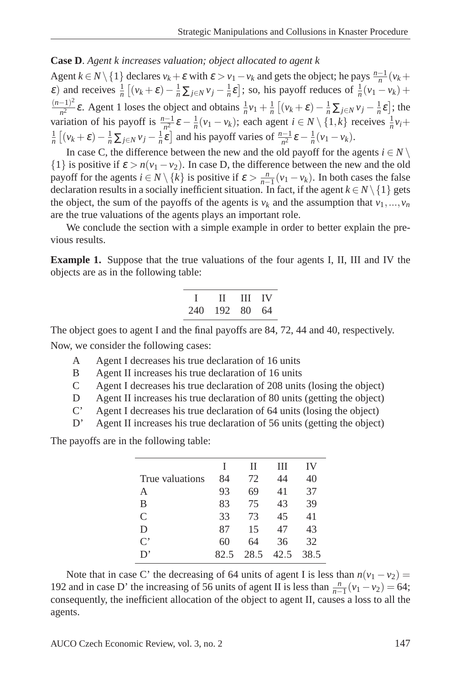## **Case D**. *Agent k increases valuation; object allocated to agent k*

Agent  $k \in N \setminus \{1\}$  declares  $v_k + \varepsilon$  with  $\varepsilon > v_1 - v_k$  and gets the object; he pays  $\frac{n-1}{n}(v_k +$  $\epsilon$ ) and receives  $\frac{1}{n} \left[ (v_k + \epsilon) - \frac{1}{n} \sum_{j \in \mathbb{N}} v_j - \frac{1}{n} \epsilon \right]$ ; so, his payoff reduces of  $\frac{1}{n} (v_1 - v_k)$  +  $(n-1)^2$  $\frac{(-1)^2}{n^2}$ **ε**. Agent 1 loses the object and obtains  $\frac{1}{n}v_1 + \frac{1}{n}[(v_k + ε) - \frac{1}{n}\sum_{j \in N} v_j - \frac{1}{n}ε]$ ; the variation of his payoff is  $\frac{n-1}{n^2} \varepsilon - \frac{1}{n} (v_1 - v_k)$ ; each agent  $i \in N \setminus \{1, k\}$  receives  $\frac{1}{n} v_i +$  $\frac{1}{n} \left[ (v_k + \varepsilon) - \frac{1}{n} \sum_{j \in \mathbb{N}} v_j - \frac{1}{n} \varepsilon \right]$  and his payoff varies of  $\frac{n-1}{n^2} \varepsilon - \frac{1}{n} (v_1 - v_k)$ .

In case C, the difference between the new and the old payoff for the agents  $i \in N \setminus \mathbb{R}$  $\{1\}$  is positive if  $\varepsilon > n(v_1 - v_2)$ . In case D, the difference between the new and the old payoff for the agents  $i \in N \setminus \{k\}$  is positive if  $\varepsilon > \frac{n}{n-1}(v_1 - v_k)$ . In both cases the false declaration results in a socially inefficient situation. In fact, if the agent  $k \in N \setminus \{1\}$  gets the object, the sum of the payoffs of the agents is  $v_k$  and the assumption that  $v_1, \ldots, v_n$ are the true valuations of the agents plays an important role.

We conclude the section with a simple example in order to better explain the previous results.

**Example 1.** Suppose that the true valuations of the four agents I, II, III and IV the objects are as in the following table:

|     |        | II III IV |    |
|-----|--------|-----------|----|
| 240 | 192 80 |           | 64 |

The object goes to agent I and the final payoffs are 84, 72, 44 and 40, respectively. Now, we consider the following cases:

- A Agent I decreases his true declaration of 16 units
- B Agent II increases his true declaration of 16 units
- C Agent I decreases his true declaration of 208 units (losing the object)
- D Agent II increases his true declaration of 80 units (getting the object)
- C' Agent I decreases his true declaration of 64 units (losing the object)
- D' Agent II increases his true declaration of 56 units (getting the object)

The payoffs are in the following table:

|                 |      | П    | Ш    | IV   |
|-----------------|------|------|------|------|
| True valuations | 84   | 72   | 44   | 40   |
| А               | 93   | 69   | 41   | 37   |
| B               | 83   | 75   | 43   | 39   |
| C               | 33   | 73   | 45   | 41   |
| D               | 87   | 15   | 47   | 43   |
| $\mathrm{C}^*$  | 60   | 64   | 36   | 32   |
| D,              | 82.5 | 28.5 | 42.5 | 38.5 |

Note that in case C' the decreasing of 64 units of agent I is less than  $n(v_1 - v_2)$  = 192 and in case D' the increasing of 56 units of agent II is less than  $\frac{n}{n-1}(v_1 - v_2) = 64$ ; consequently, the inefficient allocation of the object to agent II, causes a loss to all the agents.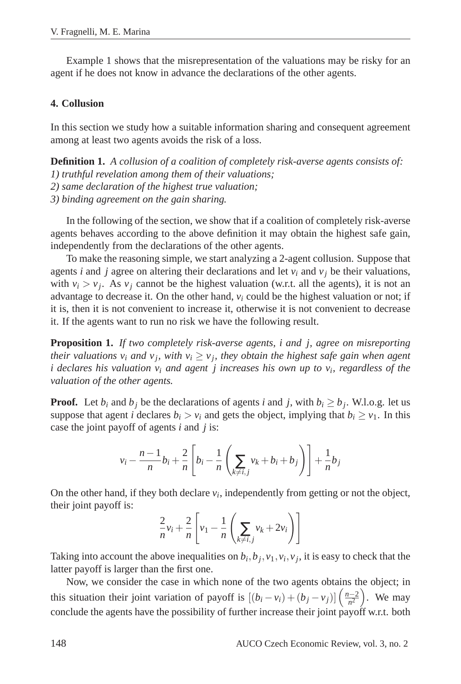Example 1 shows that the misrepresentation of the valuations may be risky for an agent if he does not know in advance the declarations of the other agents.

#### **4. Collusion**

In this section we study how a suitable information sharing and consequent agreement among at least two agents avoids the risk of a loss.

**Definition 1.** *A collusion of a coalition of completely risk-averse agents consists of: 1) truthful revelation among them of their valuations; 2) same declaration of the highest true valuation;*

*3) binding agreement on the gain sharing.*

In the following of the section, we show that if a coalition of completely risk-averse agents behaves according to the above definition it may obtain the highest safe gain, independently from the declarations of the other agents.

To make the reasoning simple, we start analyzing a 2-agent collusion. Suppose that agents *i* and *j* agree on altering their declarations and let  $v_i$  and  $v_j$  be their valuations, with  $v_i > v_j$ . As  $v_j$  cannot be the highest valuation (w.r.t. all the agents), it is not an advantage to decrease it. On the other hand,  $v_i$  could be the highest valuation or not; if it is, then it is not convenient to increase it, otherwise it is not convenient to decrease it. If the agents want to run no risk we have the following result.

**Proposition 1.** *If two completely risk-averse agents, i and j, agree on misreporting their valuations*  $v_i$  *and*  $v_j$ *, with*  $v_i \ge v_j$ *, they obtain the highest safe gain when agent i declares his valuation v<sup>i</sup> and agent j increases his own up to v<sup>i</sup> , regardless of the valuation of the other agents.*

**Proof.** Let  $b_i$  and  $b_j$  be the declarations of agents *i* and *j*, with  $b_i \geq b_j$ . W.l.o.g. let us suppose that agent *i* declares  $b_i > v_i$  and gets the object, implying that  $b_i \ge v_1$ . In this case the joint payoff of agents *i* and *j* is:

$$
v_i - \frac{n-1}{n}b_i + \frac{2}{n}\left[b_i - \frac{1}{n}\left(\sum_{k \neq i,j} v_k + b_i + b_j\right)\right] + \frac{1}{n}b_j
$$

On the other hand, if they both declare  $v_i$ , independently from getting or not the object, their joint payoff is:

$$
\frac{2}{n}v_i + \frac{2}{n}\left[v_1 - \frac{1}{n}\left(\sum_{k \neq i,j} v_k + 2v_i\right)\right]
$$

Taking into account the above inequalities on  $b_i$ ,  $b_j$ ,  $v_1$ ,  $v_i$ ,  $v_j$ , it is easy to check that the latter payoff is larger than the first one.

Now, we consider the case in which none of the two agents obtains the object; in this situation their joint variation of payoff is  $[(b_i - v_i) + (b_j - v_j)] \left( \frac{n-2}{n^2} \right)$ . We may conclude the agents have the possibility of further increase their joint payoff w.r.t. both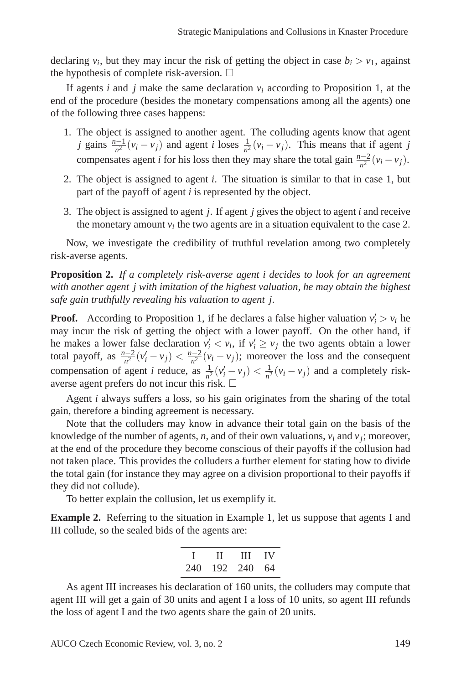declaring  $v_i$ , but they may incur the risk of getting the object in case  $b_i > v_1$ , against the hypothesis of complete risk-aversion.  $\Box$ 

If agents *i* and *j* make the same declaration  $v_i$  according to Proposition 1, at the end of the procedure (besides the monetary compensations among all the agents) one of the following three cases happens:

- 1. The object is assigned to another agent. The colluding agents know that agent *j* gains  $\frac{n-1}{n^2}(v_i - v_j)$  and agent *i* loses  $\frac{1}{n^2}(v_i - v_j)$ . This means that if agent *j* compensates agent *i* for his loss then they may share the total gain  $\frac{n-2}{n^2}(v_i - v_j)$ .
- 2. The object is assigned to agent *i*. The situation is similar to that in case 1, but part of the payoff of agent *i* is represented by the object.
- 3. The object is assigned to agent *j*. If agent *j* gives the object to agent *i* and receive the monetary amount  $v_i$  the two agents are in a situation equivalent to the case 2.

Now, we investigate the credibility of truthful revelation among two completely risk-averse agents.

**Proposition 2.** *If a completely risk-averse agent i decides to look for an agreement with another agent j with imitation of the highest valuation, he may obtain the highest safe gain truthfully revealing his valuation to agent j.*

**Proof.** According to Proposition 1, if he declares a false higher valuation  $v_i' > v_i$  he may incur the risk of getting the object with a lower payoff. On the other hand, if he makes a lower false declaration  $v_i' < v_i$ , if  $v_i' \ge v_j$  the two agents obtain a lower total payoff, as  $\frac{n-2}{n^2}(v_i - v_j) < \frac{n-2}{n^2}(v_i - v_j)$ ; moreover the loss and the consequent compensation of agent *i* reduce, as  $\frac{1}{n^2}(v_i^{\prime} - v_j) < \frac{1}{n^2}$  $\frac{1}{n^2}(v_i - v_j)$  and a completely riskaverse agent prefers do not incur this risk.  $\square$ 

Agent *i* always suffers a loss, so his gain originates from the sharing of the total gain, therefore a binding agreement is necessary.

Note that the colluders may know in advance their total gain on the basis of the knowledge of the number of agents, *n*, and of their own valuations,  $v_i$  and  $v_j$ ; moreover, at the end of the procedure they become conscious of their payoffs if the collusion had not taken place. This provides the colluders a further element for stating how to divide the total gain (for instance they may agree on a division proportional to their payoffs if they did not collude).

To better explain the collusion, let us exemplify it.

**Example 2.** Referring to the situation in Example 1, let us suppose that agents I and III collude, so the sealed bids of the agents are:

|     | $\mathbf{u}$ | $III$ IV   |  |
|-----|--------------|------------|--|
| 240 |              | 192 240 64 |  |

As agent III increases his declaration of 160 units, the colluders may compute that agent III will get a gain of 30 units and agent I a loss of 10 units, so agent III refunds the loss of agent I and the two agents share the gain of 20 units.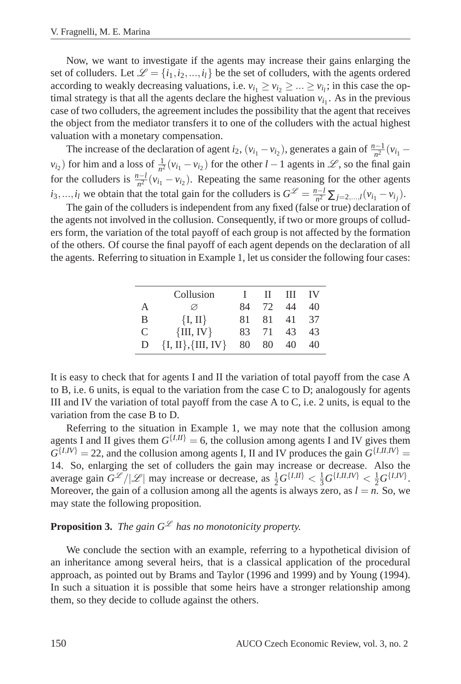Now, we want to investigate if the agents may increase their gains enlarging the set of colluders. Let  $\mathcal{L} = \{i_1, i_2, ..., i_l\}$  be the set of colluders, with the agents ordered according to weakly decreasing valuations, i.e.  $v_{i_1} \ge v_{i_2} \ge ... \ge v_{i_l}$ ; in this case the optimal strategy is that all the agents declare the highest valuation  $v_{i_1}$ . As in the previous case of two colluders, the agreement includes the possibility that the agent that receives the object from the mediator transfers it to one of the colluders with the actual highest valuation with a monetary compensation.

The increase of the declaration of agent *i*<sub>2</sub>, (*v*<sub>*i*1</sub> − *v*<sub>*i*<sub>2</sub></sub>), generates a gain of  $\frac{n-1}{n^2}(v_{i_1} - v_{i_2})$  $v_{i_2}$ ) for him and a loss of  $\frac{1}{n^2}(v_{i_1} - v_{i_2})$  for the other *l* − 1 agents in  $\mathcal{L}$ , so the final gain for the colluders is  $\frac{n-l}{n^2}(v_{i_1} - v_{i_2})$ . Repeating the same reasoning for the other agents *i*<sub>3</sub>,...,*i*<sub>*l*</sub> we obtain that the total gain for the colluders is  $G^{\mathcal{L}} = \frac{n-l}{n^2} \sum_{j=2,\dots,l} (v_{i_1} - v_{i_j})$ .

The gain of the colluders is independent from any fixed (false or true) declaration of the agents not involved in the collusion. Consequently, if two or more groups of colluders form, the variation of the total payoff of each group is not affected by the formation of the others. Of course the final payoff of each agent depends on the declaration of all the agents. Referring to situation in Example 1, let us consider the following four cases:

|   | Collusion                |     | $\mathbf{H}$ | Ш     | $\overline{V}$ |
|---|--------------------------|-----|--------------|-------|----------------|
| A | Ø                        | 84  | 72           | 44    | 40             |
| B | $\{I, II\}$              | 81  | 81.          | 41 37 |                |
| C | $\{III, IV\}$            | 83. | 71           | 43    | 43             |
| D | $\{I, II\}, \{III, IV\}$ | 80  | 80           | 40    | 40             |

It is easy to check that for agents I and II the variation of total payoff from the case A to B, i.e. 6 units, is equal to the variation from the case C to D; analogously for agents III and IV the variation of total payoff from the case  $A$  to  $C$ , i.e. 2 units, is equal to the variation from the case B to D.

Referring to the situation in Example 1, we may note that the collusion among agents I and II gives them  $G^{[I,II]} = 6$ , the collusion among agents I and IV gives them  $G^{[I,IV]} = 22$ , and the collusion among agents I, II and IV produces the gain  $G^{[I,II,IV]} =$ 14. So, enlarging the set of colluders the gain may increase or decrease. Also the average gain  $G^{\mathscr{L}}/|\mathscr{L}|$  may increase or decrease, as  $\frac{1}{2}G^{\{I,II\}} < \frac{1}{3}G^{\{I,II,IV\}} < \frac{1}{2}G^{\{I,IV\}}$ . Moreover, the gain of a collusion among all the agents is always zero, as  $l = n$ . So, we may state the following proposition.

# **Proposition 3.** *The gain*  $G^{\mathcal{L}}$  *has no monotonicity property.*

We conclude the section with an example, referring to a hypothetical division of an inheritance among several heirs, that is a classical application of the procedural approach, as pointed out by Brams and Taylor (1996 and 1999) and by Young (1994). In such a situation it is possible that some heirs have a stronger relationship among them, so they decide to collude against the others.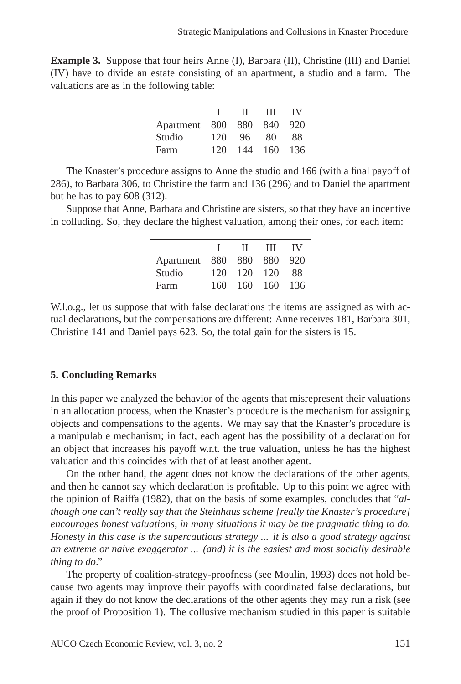| <b>Example 3.</b> Suppose that four heirs Anne (I), Barbara (II), Christine (III) and Daniel |  |  |  |  |  |
|----------------------------------------------------------------------------------------------|--|--|--|--|--|
| (IV) have to divide an estate consisting of an apartment, a studio and a farm. The           |  |  |  |  |  |
| valuations are as in the following table:                                                    |  |  |  |  |  |

|               |     | Н.  | Ш    | TV.  |
|---------------|-----|-----|------|------|
| Apartment 800 |     | 880 | 840  | 920  |
| Studio        | 120 | 96. | 80   | 88   |
| Farm          | 120 | 144 | -160 | -136 |
|               |     |     |      |      |

The Knaster's procedure assigns to Anne the studio and 166 (with a final payoff of 286), to Barbara 306, to Christine the farm and 136 (296) and to Daniel the apartment but he has to pay 608 (312).

Suppose that Anne, Barbara and Christine are sisters, so that they have an incentive in colluding. So, they declare the highest valuation, among their ones, for each item:

|               |      | $\mathbf{H}$ | - III | - IV  |
|---------------|------|--------------|-------|-------|
| Apartment 880 |      | 880 880      |       | -920  |
| Studio        | 120  | 120 120      |       | 88    |
| Farm          | 160. | 160 160      |       | - 136 |
|               |      |              |       |       |

W.l.o.g., let us suppose that with false declarations the items are assigned as with actual declarations, but the compensations are different: Anne receives 181, Barbara 301, Christine 141 and Daniel pays 623. So, the total gain for the sisters is 15.

#### **5. Concluding Remarks**

In this paper we analyzed the behavior of the agents that misrepresent their valuations in an allocation process, when the Knaster's procedure is the mechanism for assigning objects and compensations to the agents. We may say that the Knaster's procedure is a manipulable mechanism; in fact, each agent has the possibility of a declaration for an object that increases his payoff w.r.t. the true valuation, unless he has the highest valuation and this coincides with that of at least another agent.

On the other hand, the agent does not know the declarations of the other agents, and then he cannot say which declaration is profitable. Up to this point we agree with the opinion of Raiffa (1982), that on the basis of some examples, concludes that "*although one can't really say that the Steinhaus scheme [really the Knaster's procedure] encourages honest valuations, in many situations it may be the pragmatic thing to do. Honesty in this case is the supercautious strategy ... it is also a good strategy against an extreme or naive exaggerator ... (and) it is the easiest and most socially desirable thing to do*."

The property of coalition-strategy-proofness (see Moulin, 1993) does not hold because two agents may improve their payoffs with coordinated false declarations, but again if they do not know the declarations of the other agents they may run a risk (see the proof of Proposition 1). The collusive mechanism studied in this paper is suitable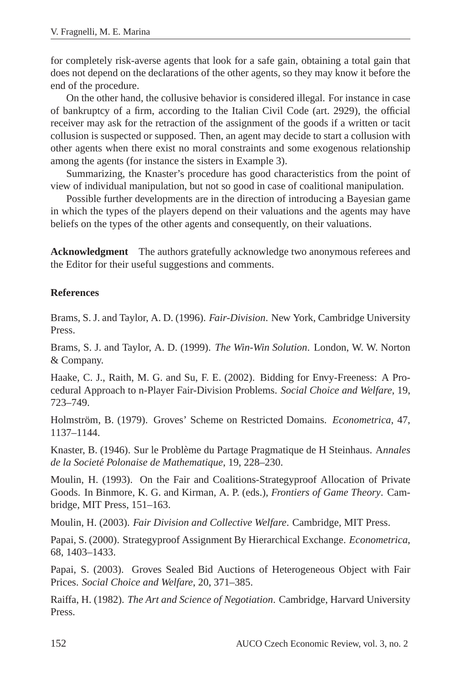for completely risk-averse agents that look for a safe gain, obtaining a total gain that does not depend on the declarations of the other agents, so they may know it before the end of the procedure.

On the other hand, the collusive behavior is considered illegal. For instance in case of bankruptcy of a firm, according to the Italian Civil Code (art. 2929), the official receiver may ask for the retraction of the assignment of the goods if a written or tacit collusion is suspected or supposed. Then, an agent may decide to start a collusion with other agents when there exist no moral constraints and some exogenous relationship among the agents (for instance the sisters in Example 3).

Summarizing, the Knaster's procedure has good characteristics from the point of view of individual manipulation, but not so good in case of coalitional manipulation.

Possible further developments are in the direction of introducing a Bayesian game in which the types of the players depend on their valuations and the agents may have beliefs on the types of the other agents and consequently, on their valuations.

**Acknowledgment** The authors gratefully acknowledge two anonymous referees and the Editor for their useful suggestions and comments.

### **References**

Brams, S. J. and Taylor, A. D. (1996). *Fair-Division*. New York, Cambridge University Press.

Brams, S. J. and Taylor, A. D. (1999). *The Win-Win Solution*. London, W. W. Norton & Company.

Haake, C. J., Raith, M. G. and Su, F. E. (2002). Bidding for Envy-Freeness: A Procedural Approach to n-Player Fair-Division Problems. *Social Choice and Welfare*, 19, 723–749.

Holmström, B. (1979). Groves' Scheme on Restricted Domains. *Econometrica*, 47, 1137–1144.

Knaster, B. (1946). Sur le Problème du Partage Pragmatique de H Steinhaus. Annales *de la Societe Polonaise de Mathematique ´* , 19, 228–230.

Moulin, H. (1993). On the Fair and Coalitions-Strategyproof Allocation of Private Goods. In Binmore, K. G. and Kirman, A. P. (eds.), *Frontiers of Game Theory*. Cambridge, MIT Press, 151–163.

Moulin, H. (2003). *Fair Division and Collective Welfare*. Cambridge, MIT Press.

Papai, S. (2000). Strategyproof Assignment By Hierarchical Exchange. *Econometrica*, 68, 1403–1433.

Papai, S. (2003). Groves Sealed Bid Auctions of Heterogeneous Object with Fair Prices. *Social Choice and Welfare*, 20, 371–385.

Raiffa, H. (1982). *The Art and Science of Negotiation*. Cambridge, Harvard University Press.